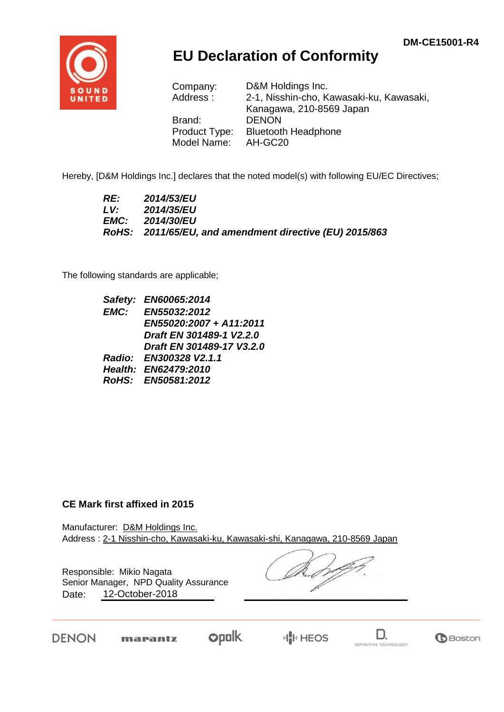

## **EU Declaration of Conformity**

| Company:      | D&M Holdings Inc.                        |
|---------------|------------------------------------------|
| Address:      | 2-1, Nisshin-cho, Kawasaki-ku, Kawasaki, |
|               | Kanagawa, 210-8569 Japan                 |
| Brand:        | <b>DENON</b>                             |
| Product Type: | <b>Bluetooth Headphone</b>               |
| Model Name:   | AH-GC20                                  |

Hereby, [D&M Holdings Inc.] declares that the noted model(s) with following EU/EC Directives;

*RE: 2014/53/EU LV: 2014/35/EU EMC: 2014/30/EU RoHS: 2011/65/EU, and amendment directive (EU) 2015/863*

The following standards are applicable;

| Safety: EN60065:2014      |
|---------------------------|
| EMC: EN55032:2012         |
| EN55020:2007 + A11:2011   |
| Draft EN 301489-1 V2.2.0  |
| Draft EN 301489-17 V3.2.0 |
| Radio: EN300328 V2.1.1    |
| Health: EN62479:2010      |
| RoHS: EN50581:2012        |

## **CE Mark first affixed in 2015**

Manufacturer: D&M Holdings Inc. Address : 2-1 Nisshin-cho, Kawasaki-ku, Kawasaki-shi, Kanagawa, 210-8569 Japan

Responsible: Mikio Nagata Date: 12-October-2018 Senior Manager, NPD Quality Assurance

DENON

**opolk** marantz





D. DEFINITIVE TECHNOLOGY